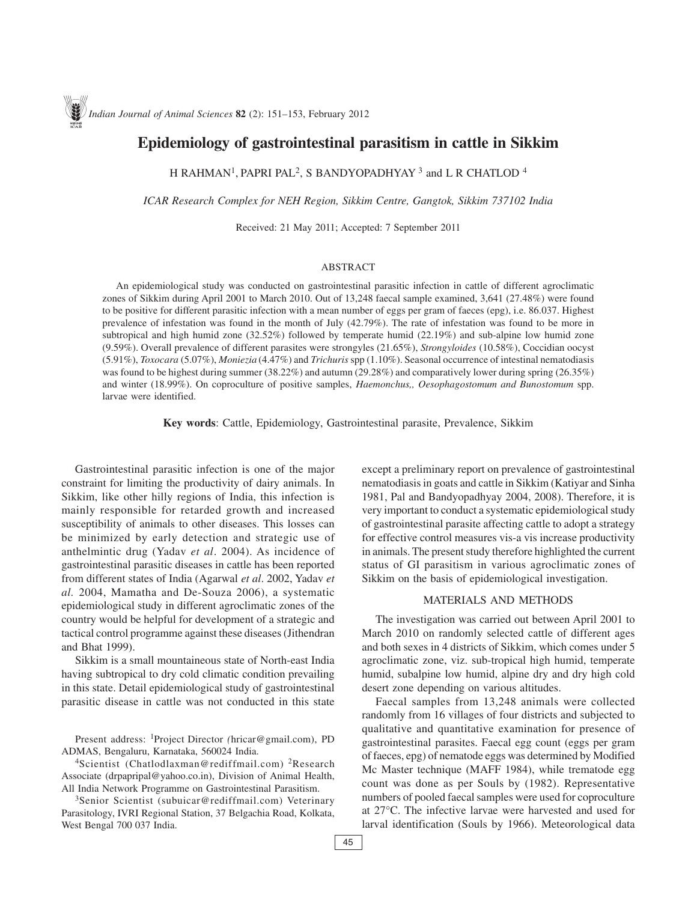# **Epidemiology of gastrointestinal parasitism in cattle in Sikkim**

H RAHMAN<sup>1</sup>, PAPRI PAL<sup>2</sup>, S BANDYOPADHYAY<sup>3</sup> and L R CHATLOD<sup>4</sup>

*ICAR Research Complex for NEH Region, Sikkim Centre, Gangtok, Sikkim 737102 India*

Received: 21 May 2011; Accepted: 7 September 2011

## ABSTRACT

An epidemiological study was conducted on gastrointestinal parasitic infection in cattle of different agroclimatic zones of Sikkim during April 2001 to March 2010. Out of 13,248 faecal sample examined, 3,641 (27.48%) were found to be positive for different parasitic infection with a mean number of eggs per gram of faeces (epg), i.e. 86.037. Highest prevalence of infestation was found in the month of July (42.79%). The rate of infestation was found to be more in subtropical and high humid zone (32.52%) followed by temperate humid (22.19%) and sub-alpine low humid zone (9.59%). Overall prevalence of different parasites were strongyles (21.65%), *Strongyloides* (10.58%), Coccidian oocyst (5.91%), *Toxocara* (5.07%), *Moniezia* (4.47%) and *Trichuris* spp (1.10%). Seasonal occurrence of intestinal nematodiasis was found to be highest during summer (38.22%) and autumn (29.28%) and comparatively lower during spring (26.35%) and winter (18.99%). On coproculture of positive samples, *Haemonchus,, Oesophagostomum and Bunostomum* spp. larvae were identified.

**Key words**: Cattle, Epidemiology, Gastrointestinal parasite, Prevalence, Sikkim

Gastrointestinal parasitic infection is one of the major constraint for limiting the productivity of dairy animals. In Sikkim, like other hilly regions of India, this infection is mainly responsible for retarded growth and increased susceptibility of animals to other diseases. This losses can be minimized by early detection and strategic use of anthelmintic drug (Yadav *et al*. 2004). As incidence of gastrointestinal parasitic diseases in cattle has been reported from different states of India (Agarwal *et al*. 2002, Yadav *et al.* 2004, Mamatha and De-Souza 2006), a systematic epidemiological study in different agroclimatic zones of the country would be helpful for development of a strategic and tactical control programme against these diseases (Jithendran and Bhat 1999).

Sikkim is a small mountaineous state of North-east India having subtropical to dry cold climatic condition prevailing in this state. Detail epidemiological study of gastrointestinal parasitic disease in cattle was not conducted in this state

Present address: 1Project Director *(*hricar@gmail.com), PD ADMAS, Bengaluru, Karnataka, 560024 India.

4Scientist (Chatlodlaxman@rediffmail.com) 2Research Associate (drpapripal@yahoo.co.in), Division of Animal Health, All India Network Programme on Gastrointestinal Parasitism.

<sup>3</sup>Senior Scientist (subuicar@rediffmail.com) Veterinary Parasitology, IVRI Regional Station, 37 Belgachia Road, Kolkata, West Bengal 700 037 India.

except a preliminary report on prevalence of gastrointestinal nematodiasis in goats and cattle in Sikkim (Katiyar and Sinha 1981, Pal and Bandyopadhyay 2004, 2008). Therefore, it is very important to conduct a systematic epidemiological study of gastrointestinal parasite affecting cattle to adopt a strategy for effective control measures vis-a vis increase productivity in animals. The present study therefore highlighted the current status of GI parasitism in various agroclimatic zones of Sikkim on the basis of epidemiological investigation.

# MATERIALS AND METHODS

The investigation was carried out between April 2001 to March 2010 on randomly selected cattle of different ages and both sexes in 4 districts of Sikkim, which comes under 5 agroclimatic zone, viz. sub-tropical high humid, temperate humid, subalpine low humid, alpine dry and dry high cold desert zone depending on various altitudes.

Faecal samples from 13,248 animals were collected randomly from 16 villages of four districts and subjected to qualitative and quantitative examination for presence of gastrointestinal parasites. Faecal egg count (eggs per gram of faeces, epg) of nematode eggs was determined by Modified Mc Master technique (MAFF 1984), while trematode egg count was done as per Souls by (1982). Representative numbers of pooled faecal samples were used for coproculture at 27°C. The infective larvae were harvested and used for larval identification (Souls by 1966). Meteorological data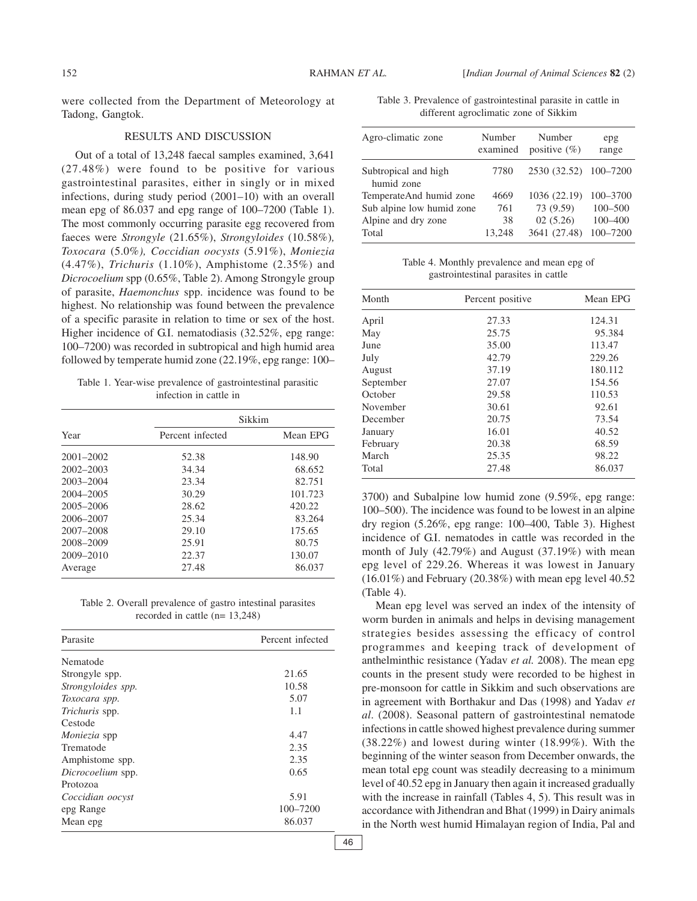were collected from the Department of Meteorology at Tadong, Gangtok.

#### RESULTS AND DISCUSSION

Out of a total of 13,248 faecal samples examined, 3,641 (27.48%) were found to be positive for various gastrointestinal parasites, either in singly or in mixed infections, during study period (2001–10) with an overall mean epg of 86.037 and epg range of 100–7200 (Table 1). The most commonly occurring parasite egg recovered from faeces were *Strongyle* (21.65%), *Strongyloides* (10.58%)*, Toxocara* (5.0%*), Coccidian oocysts* (5.91%), *Moniezia* (4.47%), *Trichuris* (1.10%), Amphistome (2.35%) and *Dicrocoelium* spp (0.65%, Table 2). Among Strongyle group of parasite, *Haemonchus* spp. incidence was found to be highest. No relationship was found between the prevalence of a specific parasite in relation to time or sex of the host. Higher incidence of G.I. nematodiasis (32.52%, epg range: 100–7200) was recorded in subtropical and high humid area followed by temperate humid zone (22.19%, epg range: 100–

Table 1. Year-wise prevalence of gastrointestinal parasitic infection in cattle in

| Year          | Sikkim           |          |  |
|---------------|------------------|----------|--|
|               | Percent infected | Mean EPG |  |
| $2001 - 2002$ | 52.38            | 148.90   |  |
| $2002 - 2003$ | 34.34            | 68.652   |  |
| 2003-2004     | 23.34            | 82.751   |  |
| 2004-2005     | 30.29            | 101.723  |  |
| 2005-2006     | 28.62            | 420.22   |  |
| 2006-2007     | 25.34            | 83.264   |  |
| 2007-2008     | 29.10            | 175.65   |  |
| 2008-2009     | 25.91            | 80.75    |  |
| $2009 - 2010$ | 22.37            | 130.07   |  |
| Average       | 27.48            | 86.037   |  |

Table 2. Overall prevalence of gastro intestinal parasites recorded in cattle (n= 13,248)

| Parasite           | Percent infected |
|--------------------|------------------|
| Nematode           |                  |
| Strongyle spp.     | 21.65            |
| Strongyloides spp. | 10.58            |
| Toxocara spp.      | 5.07             |
| Trichuris spp.     | 1.1              |
| Cestode            |                  |
| Moniezia spp       | 4.47             |
| Trematode          | 2.35             |
| Amphistome spp.    | 2.35             |
| Dicrocoelium spp.  | 0.65             |
| Protozoa           |                  |
| Coccidian oocyst   | 5.91             |
| epg Range          | 100-7200         |
| Mean epg           | 86.037           |
|                    |                  |

Table 3. Prevalence of gastrointestinal parasite in cattle in different agroclimatic zone of Sikkim

| Agro-climatic zone                 | Number<br>examined | Number<br>positive $(\% )$ | epg<br>range |
|------------------------------------|--------------------|----------------------------|--------------|
| Subtropical and high<br>humid zone | 7780               | 2530 (32.52) 100-7200      |              |
| TemperateAnd humid zone            | 4669               | 1036 (22.19)               | 100-3700     |
| Sub alpine low humid zone          | 761                | 73 (9.59)                  | $100 - 500$  |
| Alpine and dry zone                | 38                 | 02(5.26)                   | $100 - 400$  |
| Total                              | 13.248             | 3641 (27.48)               | 100-7200     |

Table 4. Monthly prevalence and mean epg of gastrointestinal parasites in cattle

| Month     | Percent positive | Mean EPG |
|-----------|------------------|----------|
| April     | 27.33            | 124.31   |
| May       | 25.75            | 95.384   |
| June      | 35.00            | 113.47   |
| July      | 42.79            | 229.26   |
| August    | 37.19            | 180.112  |
| September | 27.07            | 154.56   |
| October   | 29.58            | 110.53   |
| November  | 30.61            | 92.61    |
| December  | 20.75            | 73.54    |
| January   | 16.01            | 40.52    |
| February  | 20.38            | 68.59    |
| March     | 25.35            | 98.22    |
| Total     | 27.48            | 86.037   |

3700) and Subalpine low humid zone (9.59%, epg range: 100–500). The incidence was found to be lowest in an alpine dry region (5.26%, epg range: 100–400, Table 3). Highest incidence of G.I. nematodes in cattle was recorded in the month of July (42.79%) and August (37.19%) with mean epg level of 229.26. Whereas it was lowest in January  $(16.01\%)$  and February  $(20.38\%)$  with mean epg level 40.52 (Table 4).

Mean epg level was served an index of the intensity of worm burden in animals and helps in devising management strategies besides assessing the efficacy of control programmes and keeping track of development of anthelminthic resistance (Yadav *et al.* 2008). The mean epg counts in the present study were recorded to be highest in pre-monsoon for cattle in Sikkim and such observations are in agreement with Borthakur and Das (1998) and Yadav *et al*. (2008). Seasonal pattern of gastrointestinal nematode infections in cattle showed highest prevalence during summer (38.22%) and lowest during winter (18.99%). With the beginning of the winter season from December onwards, the mean total epg count was steadily decreasing to a minimum level of 40.52 epg in January then again it increased gradually with the increase in rainfall (Tables 4, 5). This result was in accordance with Jithendran and Bhat (1999) in Dairy animals in the North west humid Himalayan region of India, Pal and